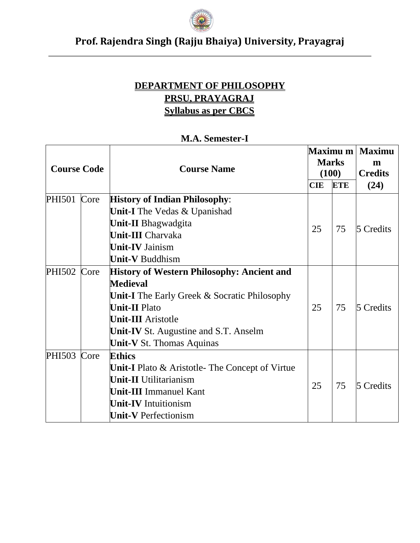

#### **DEPARTMENT OF PHILOSOPHY PRSU, PRAYAGRAJ Syllabus as per CBCS**

| <b>Course Code</b> |      | <b>Course Name</b>                                                                                                                                                                                                                                                      | <b>CIE</b> | <b>Maximu m</b>  <br><b>Marks</b><br>(100)<br><b>ETE</b> | <b>Maximu</b><br>m<br><b>Credits</b><br>(24) |  |
|--------------------|------|-------------------------------------------------------------------------------------------------------------------------------------------------------------------------------------------------------------------------------------------------------------------------|------------|----------------------------------------------------------|----------------------------------------------|--|
| <b>PHI501</b>      | Core | <b>History of Indian Philosophy:</b><br><b>Unit-I</b> The Vedas & Upanishad<br><b>Unit-II</b> Bhagwadgita                                                                                                                                                               |            |                                                          |                                              |  |
|                    |      | <b>Unit-III</b> Charvaka<br><b>Unit-IV Jainism</b><br><b>Unit-V Buddhism</b>                                                                                                                                                                                            | 25         | 75                                                       | 5 Credits                                    |  |
| <b>PHI502</b>      | Core | <b>History of Western Philosophy: Ancient and</b><br><b>Medieval</b><br><b>Unit-I</b> The Early Greek $\&$ Socratic Philosophy<br><b>Unit-II Plato</b><br><b>Unit-III</b> Aristotle<br><b>Unit-IV</b> St. Augustine and S.T. Anselm<br><b>Unit-V</b> St. Thomas Aquinas | 25         | 75                                                       | 5 Credits                                    |  |
| <b>PHI503</b>      | Core | <b>Ethics</b><br><b>Unit-I</b> Plato $\&$ Aristotle-The Concept of Virtue<br><b>Unit-II</b> Utilitarianism<br><b>Unit-III</b> Immanuel Kant<br><b>Unit-IV</b> Intuitionism<br><b>Unit-V</b> Perfectionism                                                               | 25         | 75                                                       | 5 Credits                                    |  |

#### **M.A. Semester-I**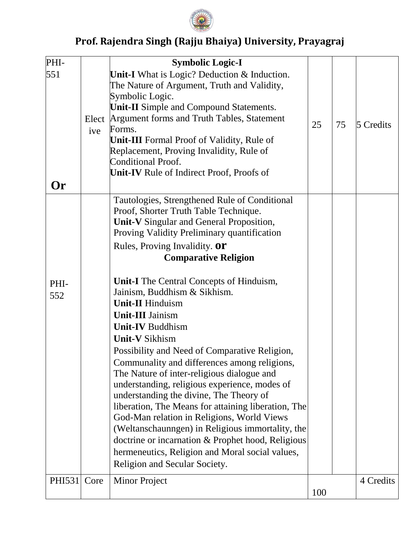

| PHI-        |      | <b>Symbolic Logic-I</b>                                                                                                                   |     |    |           |
|-------------|------|-------------------------------------------------------------------------------------------------------------------------------------------|-----|----|-----------|
| 551         |      | Unit-I What is Logic? Deduction & Induction.<br>The Nature of Argument, Truth and Validity,<br>Symbolic Logic.                            |     |    |           |
|             |      | <b>Unit-II</b> Simple and Compound Statements.                                                                                            |     |    |           |
|             | ive  | Elect Argument forms and Truth Tables, Statement<br>Forms.                                                                                | 25  | 75 | 5 Credits |
|             |      | <b>Unit-III</b> Formal Proof of Validity, Rule of                                                                                         |     |    |           |
|             |      | Replacement, Proving Invalidity, Rule of<br><b>Conditional Proof.</b>                                                                     |     |    |           |
|             |      | <b>Unit-IV</b> Rule of Indirect Proof, Proofs of                                                                                          |     |    |           |
| <b>Or</b>   |      |                                                                                                                                           |     |    |           |
|             |      | Tautologies, Strengthened Rule of Conditional<br>Proof, Shorter Truth Table Technique.<br><b>Unit-V</b> Singular and General Proposition, |     |    |           |
|             |      | Proving Validity Preliminary quantification                                                                                               |     |    |           |
|             |      | Rules, Proving Invalidity. Or<br><b>Comparative Religion</b>                                                                              |     |    |           |
|             |      |                                                                                                                                           |     |    |           |
| PHI-<br>552 |      | <b>Unit-I</b> The Central Concepts of Hinduism,<br>Jainism, Buddhism & Sikhism.                                                           |     |    |           |
|             |      | <b>Unit-II Hinduism</b>                                                                                                                   |     |    |           |
|             |      | <b>Unit-III Jainism</b>                                                                                                                   |     |    |           |
|             |      | <b>Unit-IV Buddhism</b>                                                                                                                   |     |    |           |
|             |      | <b>Unit-V Sikhism</b>                                                                                                                     |     |    |           |
|             |      | Possibility and Need of Comparative Religion,                                                                                             |     |    |           |
|             |      | Communality and differences among religions,<br>The Nature of inter-religious dialogue and                                                |     |    |           |
|             |      | understanding, religious experience, modes of                                                                                             |     |    |           |
|             |      | understanding the divine, The Theory of                                                                                                   |     |    |           |
|             |      | liberation, The Means for attaining liberation, The                                                                                       |     |    |           |
|             |      | God-Man relation in Religions, World Views                                                                                                |     |    |           |
|             |      | (Weltanschaunngen) in Religious immortality, the                                                                                          |     |    |           |
|             |      | doctrine or incarnation & Prophet hood, Religious                                                                                         |     |    |           |
|             |      | hermeneutics, Religion and Moral social values,                                                                                           |     |    |           |
|             |      | Religion and Secular Society.                                                                                                             |     |    |           |
| PHI531      | Core | <b>Minor Project</b>                                                                                                                      |     |    | 4 Credits |
|             |      |                                                                                                                                           | 100 |    |           |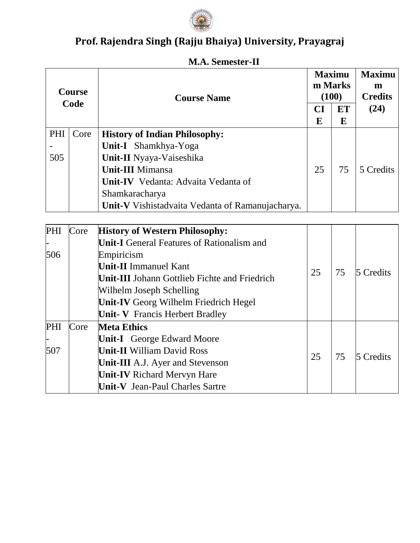

|      | <b>Course</b> | <b>Course Name</b>                                      |    | <b>Maximu</b><br>m Marks<br>(100) | <b>Maximu</b><br>m<br><b>Credits</b> |
|------|---------------|---------------------------------------------------------|----|-----------------------------------|--------------------------------------|
| Code |               |                                                         | CI | <b>ET</b>                         | (24)                                 |
|      |               |                                                         | E  | E                                 |                                      |
| PHI  | Core          | <b>History of Indian Philosophy:</b>                    |    |                                   |                                      |
|      |               | <b>Unit-I</b> Shamkhya-Yoga                             |    |                                   |                                      |
| 505  |               | Unit-II Nyaya-Vaiseshika                                |    |                                   |                                      |
|      |               | <b>Unit-III</b> Mimansa                                 | 25 | 75                                | 5 Credits                            |
|      |               | Unit-IV Vedanta: Advaita Vedanta of                     |    |                                   |                                      |
|      |               | Shamkaracharya                                          |    |                                   |                                      |
|      |               | <b>Unit-V</b> Vishistadvaita Vedanta of Ramanujacharya. |    |                                   |                                      |

#### **M.A. Semester-II**

| PHI | Core | <b>History of Western Philosophy:</b>                |    |          |           |
|-----|------|------------------------------------------------------|----|----------|-----------|
|     |      | <b>Unit-I</b> General Features of Rationalism and    |    |          |           |
| 506 |      | Empiricism                                           |    |          |           |
|     |      | <b>Unit-II</b> Immanuel Kant                         |    | 75       |           |
|     |      | <b>Unit-III</b> Johann Gottlieb Fichte and Friedrich | 25 |          | 5 Credits |
|     |      | Wilhelm Joseph Schelling                             |    |          |           |
|     |      | <b>Unit-IV</b> Georg Wilhelm Friedrich Hegel         |    |          |           |
|     |      | <b>Unit- V</b> Francis Herbert Bradley               |    |          |           |
| PHI | Core | <b>Meta Ethics</b>                                   |    |          |           |
|     |      | <b>Unit-I</b> George Edward Moore                    |    |          |           |
| 507 |      | <b>Unit-II William David Ross</b>                    |    | 25<br>75 | 5 Credits |
|     |      | <b>Unit-III</b> A.J. Ayer and Stevenson              |    |          |           |
|     |      | <b>Unit-IV</b> Richard Mervyn Hare                   |    |          |           |
|     |      | Unit-V Jean-Paul Charles Sartre                      |    |          |           |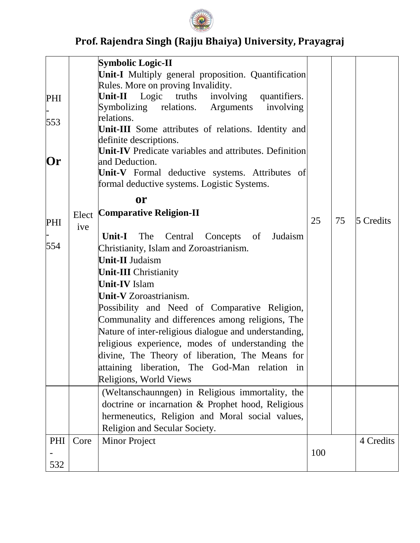

|           |       | <b>Symbolic Logic-II</b>                                                      |     |    |           |
|-----------|-------|-------------------------------------------------------------------------------|-----|----|-----------|
|           |       | <b>Unit-I</b> Multiply general proposition. Quantification                    |     |    |           |
|           |       | Rules. More on proving Invalidity.                                            |     |    |           |
| PHI       |       | Unit-II Logic truths involving quantifiers.                                   |     |    |           |
|           |       | Symbolizing relations. Arguments<br>involving                                 |     |    |           |
| 553       |       | relations.                                                                    |     |    |           |
|           |       | Unit-III Some attributes of relations. Identity and<br>definite descriptions. |     |    |           |
|           |       | Unit-IV Predicate variables and attributes. Definition                        |     |    |           |
| <b>Or</b> |       | and Deduction.                                                                |     |    |           |
|           |       | Unit-V Formal deductive systems. Attributes of                                |     |    |           |
|           |       | formal deductive systems. Logistic Systems.                                   |     |    |           |
|           |       | <b>or</b>                                                                     |     |    |           |
|           | Elect | <b>Comparative Religion-II</b>                                                |     |    |           |
| PHI       | ive   |                                                                               | 25  | 75 | 5 Credits |
|           |       | The Central<br>Unit-I<br>Concepts of<br>Judaism                               |     |    |           |
| 554       |       | Christianity, Islam and Zoroastrianism.                                       |     |    |           |
|           |       | <b>Unit-II Judaism</b>                                                        |     |    |           |
|           |       | <b>Unit-III</b> Christianity                                                  |     |    |           |
|           |       | <b>Unit-IV</b> Islam                                                          |     |    |           |
|           |       | <b>Unit-V</b> Zoroastrianism.                                                 |     |    |           |
|           |       | Possibility and Need of Comparative Religion,                                 |     |    |           |
|           |       | Communality and differences among religions, The                              |     |    |           |
|           |       | Nature of inter-religious dialogue and understanding,                         |     |    |           |
|           |       | religious experience, modes of understanding the                              |     |    |           |
|           |       | divine, The Theory of liberation, The Means for                               |     |    |           |
|           |       | attaining liberation, The God-Man relation<br>1n                              |     |    |           |
|           |       | Religions, World Views                                                        |     |    |           |
|           |       | (Weltanschaunngen) in Religious immortality, the                              |     |    |           |
|           |       | doctrine or incarnation & Prophet hood, Religious                             |     |    |           |
|           |       | hermeneutics, Religion and Moral social values,                               |     |    |           |
|           |       | Religion and Secular Society.                                                 |     |    |           |
| PHI       | Core  | <b>Minor Project</b>                                                          |     |    | 4 Credits |
|           |       |                                                                               | 100 |    |           |
| 532       |       |                                                                               |     |    |           |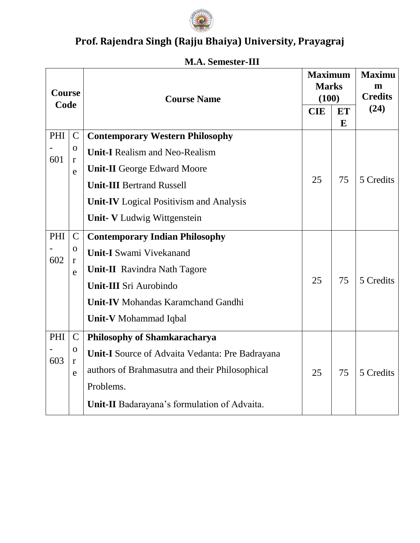

| Course<br>Code |                                                   | <b>Course Name</b>                                                                                                                                                                                          | <b>Maximum</b><br><b>Marks</b><br>(100)<br><b>CIE</b> | <b>ET</b>      | <b>Maximu</b><br>m<br><b>Credits</b><br>(24) |
|----------------|---------------------------------------------------|-------------------------------------------------------------------------------------------------------------------------------------------------------------------------------------------------------------|-------------------------------------------------------|----------------|----------------------------------------------|
| PHI<br>601     | $\mathbf C$<br>$\mathbf O$<br>$\mathbf r$<br>e    | <b>Contemporary Western Philosophy</b><br><b>Unit-I</b> Realism and Neo-Realism<br><b>Unit-II</b> George Edward Moore<br><b>Unit-III Bertrand Russell</b><br><b>Unit-IV</b> Logical Positivism and Analysis | 25                                                    | $\bf{E}$<br>75 | 5 Credits                                    |
| PHI<br>602     | $\mathsf{C}$<br>$\mathbf{O}$<br>$\mathbf r$       | <b>Unit- V</b> Ludwig Wittgenstein<br><b>Contemporary Indian Philosophy</b><br><b>Unit-I</b> Swami Vivekanand                                                                                               |                                                       |                |                                              |
|                | e                                                 | <b>Unit-II</b> Ravindra Nath Tagore<br><b>Unit-III</b> Sri Aurobindo<br><b>Unit-IV</b> Mohandas Karamchand Gandhi<br><b>Unit-V</b> Mohammad Iqbal                                                           | 25                                                    | 75             | 5 Credits                                    |
| PHI<br>603     | $\mathcal{C}$<br>$\mathbf{O}$<br>$\mathbf r$<br>e | <b>Philosophy of Shamkaracharya</b><br>Unit-I Source of Advaita Vedanta: Pre Badrayana<br>authors of Brahmasutra and their Philosophical<br>Problems.<br>Unit-II Badarayana's formulation of Advaita.       | 25                                                    | 75             | 5 Credits                                    |

#### **M.A. Semester-III**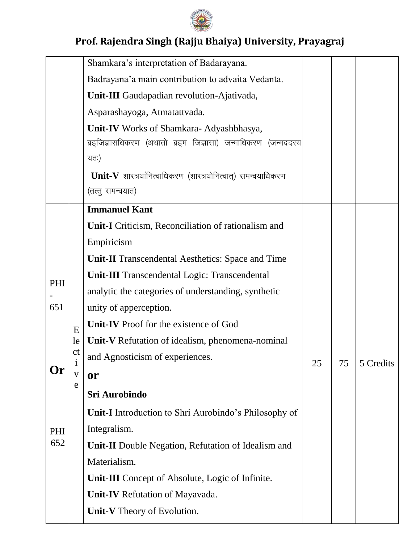

|     |                                | Shamkara's interpretation of Badarayana.                        |    |    |           |
|-----|--------------------------------|-----------------------------------------------------------------|----|----|-----------|
|     |                                |                                                                 |    |    |           |
|     |                                | Badrayana'a main contribution to advaita Vedanta.               |    |    |           |
|     |                                | Unit-III Gaudapadian revolution-Ajativada,                      |    |    |           |
|     |                                | Asparashayoga, Atmatattvada.                                    |    |    |           |
|     |                                | Unit-IV Works of Shamkara- Adyashbhasya,                        |    |    |           |
|     |                                | ब्रह्जिज्ञासधिकरण (अथातो ब्रह्म जिज्ञासा) जन्माधिकरण (जन्मददस्य |    |    |           |
|     |                                | यतः)                                                            |    |    |           |
|     |                                | Unit-V शास्त्रयानित्वाधिकरण (शास्त्रयोनित्वात्) समन्वयाधिकरण    |    |    |           |
|     |                                | (तत्तु समन्वयात)                                                |    |    |           |
|     |                                | <b>Immanuel Kant</b>                                            |    |    |           |
|     |                                | Unit-I Criticism, Reconciliation of rationalism and             |    |    |           |
|     |                                | Empiricism                                                      |    |    |           |
|     |                                | <b>Unit-II</b> Transcendental Aesthetics: Space and Time        |    |    |           |
|     |                                | <b>Unit-III</b> Transcendental Logic: Transcendental            |    |    |           |
| PHI |                                | analytic the categories of understanding, synthetic             |    |    |           |
| 651 |                                | unity of apperception.                                          |    |    |           |
|     | E                              | Unit-IV Proof for the existence of God                          |    |    |           |
|     | le                             | Unit-V Refutation of idealism, phenomena-nominal                |    |    |           |
|     | <sub>c</sub> t<br>$\mathbf{I}$ | and Agnosticism of experiences.                                 | 25 | 75 | 5 Credits |
| Or  | $\overline{\mathbf{V}}$        | or                                                              |    |    |           |
|     | e                              | Sri Aurobindo                                                   |    |    |           |
|     |                                | <b>Unit-I</b> Introduction to Shri Aurobindo's Philosophy of    |    |    |           |
| PHI |                                | Integralism.                                                    |    |    |           |
| 652 |                                | <b>Unit-II</b> Double Negation, Refutation of Idealism and      |    |    |           |
|     |                                | Materialism.                                                    |    |    |           |
|     |                                | <b>Unit-III</b> Concept of Absolute, Logic of Infinite.         |    |    |           |
|     |                                | <b>Unit-IV</b> Refutation of Mayavada.                          |    |    |           |
|     |                                | Unit-V Theory of Evolution.                                     |    |    |           |
|     |                                |                                                                 |    |    |           |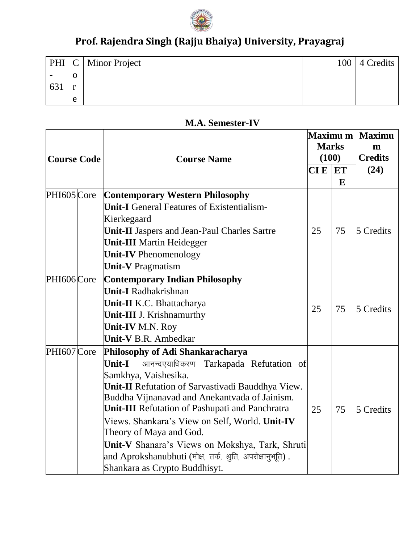

|     |              | $PHI \,   \, C \,  $ Minor Project | 100 | 4 Credits |
|-----|--------------|------------------------------------|-----|-----------|
|     | U            |                                    |     |           |
| 631 | $\mathbf{A}$ |                                    |     |           |
|     | e            |                                    |     |           |

#### **M.A. Semester-IV**

| <b>Course Code</b> | <b>Course Name</b>                                                                                                                                                                                                                                                                                                                                                                                                                                                                                                        | Maximu m<br><b>Marks</b><br>(100) |         | <b>Maximu</b><br>m<br><b>Credits</b> |  |
|--------------------|---------------------------------------------------------------------------------------------------------------------------------------------------------------------------------------------------------------------------------------------------------------------------------------------------------------------------------------------------------------------------------------------------------------------------------------------------------------------------------------------------------------------------|-----------------------------------|---------|--------------------------------------|--|
|                    |                                                                                                                                                                                                                                                                                                                                                                                                                                                                                                                           | <b>CIE</b>                        | ET<br>E | (24)                                 |  |
| PHI605 Core        | <b>Contemporary Western Philosophy</b><br><b>Unit-I</b> General Features of Existentialism-<br>Kierkegaard<br><b>Unit-II</b> Jaspers and Jean-Paul Charles Sartre<br><b>Unit-III Martin Heidegger</b><br><b>Unit-IV</b> Phenomenology<br><b>Unit-V</b> Pragmatism                                                                                                                                                                                                                                                         | 25                                | 75      | 5 Credits                            |  |
| PHI606 Core        | <b>Contemporary Indian Philosophy</b><br><b>Unit-I</b> Radhakrishnan<br>Unit-II K.C. Bhattacharya<br>Unit-III J. Krishnamurthy<br><b>Unit-IV M.N. Roy</b><br><b>Unit-V</b> B.R. Ambedkar                                                                                                                                                                                                                                                                                                                                  | 25                                | 75      | 5 Credits                            |  |
| PHI607 Core        | Philosophy of Adi Shankaracharya<br>आनन्दएयाधिकरण<br><b>Unit-I</b><br>Tarkapada Refutation of<br>Samkhya, Vaishesika.<br>Unit-II Refutation of Sarvastivadi Bauddhya View.<br>Buddha Vijnanavad and Anekantvada of Jainism.<br><b>Unit-III</b> Refutation of Pashupati and Panchratra<br>Views. Shankara's View on Self, World. Unit-IV<br>Theory of Maya and God.<br>Unit-V Shanara's Views on Mokshya, Tark, Shruti<br>$ $ and Aprokshanubhuti (मोक्ष, तर्क, श्रुति, अपरोक्षानुभूति) .<br>Shankara as Crypto Buddhisyt. | 25                                | 75      | 5 Credits                            |  |